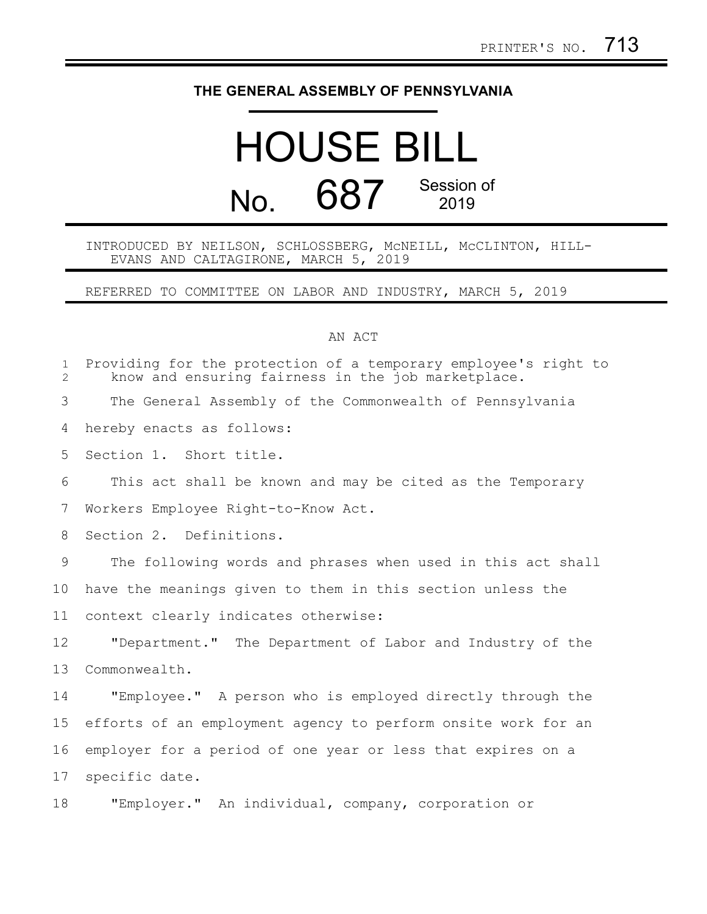## **THE GENERAL ASSEMBLY OF PENNSYLVANIA**

## HOUSE BILL No. 687 Session of 2019

INTRODUCED BY NEILSON, SCHLOSSBERG, McNEILL, McCLINTON, HILL-EVANS AND CALTAGIRONE, MARCH 5, 2019

REFERRED TO COMMITTEE ON LABOR AND INDUSTRY, MARCH 5, 2019

## AN ACT

| $\mathbf{1}$<br>$\overline{2}$ | Providing for the protection of a temporary employee's right to<br>know and ensuring fairness in the job marketplace. |
|--------------------------------|-----------------------------------------------------------------------------------------------------------------------|
| 3                              | The General Assembly of the Commonwealth of Pennsylvania                                                              |
| 4                              | hereby enacts as follows:                                                                                             |
| 5                              | Section 1. Short title.                                                                                               |
| 6                              | This act shall be known and may be cited as the Temporary                                                             |
| 7                              | Workers Employee Right-to-Know Act.                                                                                   |
| 8                              | Section 2. Definitions.                                                                                               |
| 9                              | The following words and phrases when used in this act shall                                                           |
| 10                             | have the meanings given to them in this section unless the                                                            |
| 11                             | context clearly indicates otherwise:                                                                                  |
| 12                             | "Department." The Department of Labor and Industry of the                                                             |
| 13                             | Commonwealth.                                                                                                         |
| 14                             | "Employee." A person who is employed directly through the                                                             |
| 15                             | efforts of an employment agency to perform onsite work for an                                                         |
| 16                             | employer for a period of one year or less that expires on a                                                           |
| 17                             | specific date.                                                                                                        |
| 18                             | "Employer." An individual, company, corporation or                                                                    |
|                                |                                                                                                                       |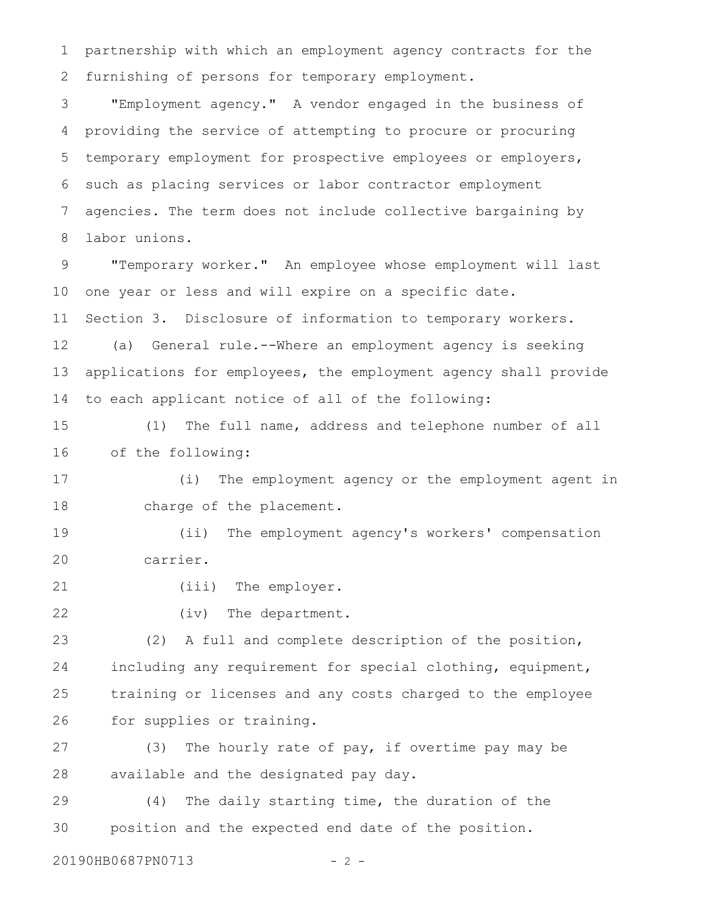partnership with which an employment agency contracts for the furnishing of persons for temporary employment. 1 2

"Employment agency." A vendor engaged in the business of providing the service of attempting to procure or procuring temporary employment for prospective employees or employers, such as placing services or labor contractor employment agencies. The term does not include collective bargaining by labor unions. 3 4 5 6 7 8

"Temporary worker." An employee whose employment will last one year or less and will expire on a specific date. Section 3. Disclosure of information to temporary workers. 9 10 11

(a) General rule.--Where an employment agency is seeking applications for employees, the employment agency shall provide to each applicant notice of all of the following: 12 13 14

(1) The full name, address and telephone number of all of the following: 15 16

(i) The employment agency or the employment agent in charge of the placement. 17 18

(ii) The employment agency's workers' compensation carrier. 19 20

(iii) The employer. 21

(iv) The department. 22

(2) A full and complete description of the position, including any requirement for special clothing, equipment, training or licenses and any costs charged to the employee for supplies or training. 23 24 25 26

(3) The hourly rate of pay, if overtime pay may be available and the designated pay day. 27 28

(4) The daily starting time, the duration of the position and the expected end date of the position. 29 30

20190HB0687PN0713 - 2 -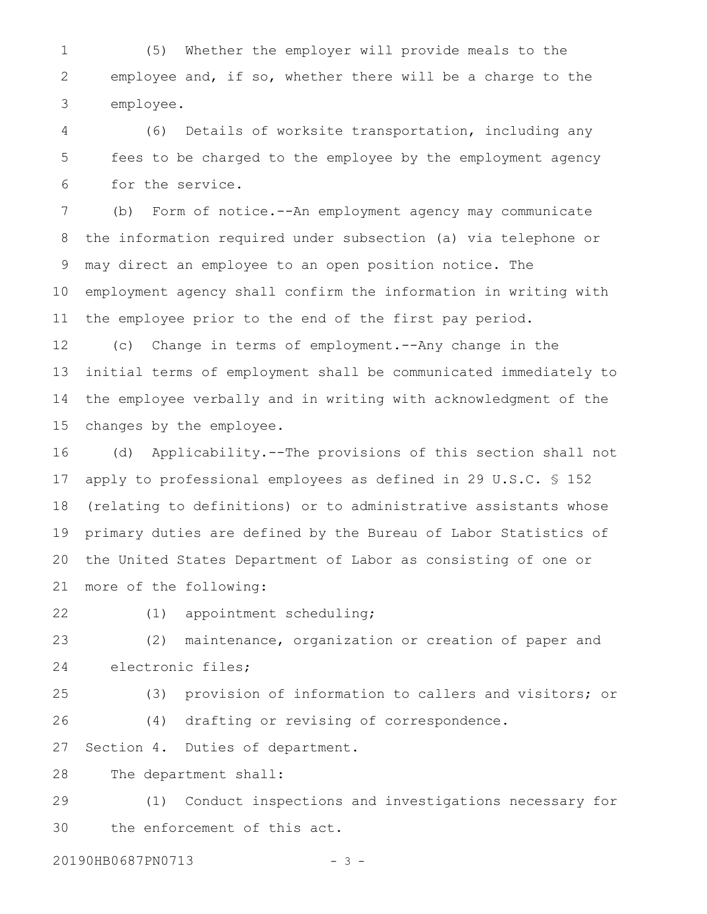(5) Whether the employer will provide meals to the employee and, if so, whether there will be a charge to the employee. 1 2 3

(6) Details of worksite transportation, including any fees to be charged to the employee by the employment agency for the service. 4 5 6

(b) Form of notice.--An employment agency may communicate the information required under subsection (a) via telephone or may direct an employee to an open position notice. The employment agency shall confirm the information in writing with the employee prior to the end of the first pay period. 7 8 9 10 11

(c) Change in terms of employment.--Any change in the initial terms of employment shall be communicated immediately to the employee verbally and in writing with acknowledgment of the changes by the employee. 12 13 14 15

(d) Applicability.--The provisions of this section shall not apply to professional employees as defined in 29 U.S.C. § 152 (relating to definitions) or to administrative assistants whose primary duties are defined by the Bureau of Labor Statistics of the United States Department of Labor as consisting of one or more of the following: 16 17 18 19 20 21

22

26

(1) appointment scheduling;

(2) maintenance, organization or creation of paper and electronic files; 23 24

25

(4) drafting or revising of correspondence.

(3) provision of information to callers and visitors; or

Section 4. Duties of department. 27

The department shall: 28

(1) Conduct inspections and investigations necessary for the enforcement of this act. 29 30

20190HB0687PN0713 - 3 -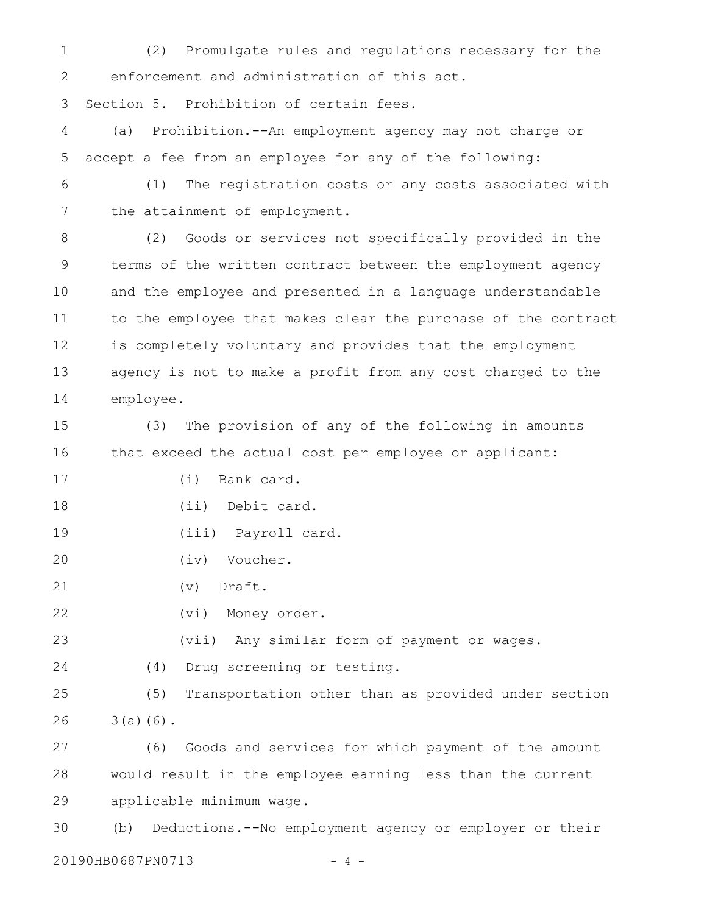(2) Promulgate rules and regulations necessary for the enforcement and administration of this act. 1 2

Section 5. Prohibition of certain fees. 3

(a) Prohibition.--An employment agency may not charge or accept a fee from an employee for any of the following: 4 5

(1) The registration costs or any costs associated with the attainment of employment. 6 7

(2) Goods or services not specifically provided in the terms of the written contract between the employment agency and the employee and presented in a language understandable to the employee that makes clear the purchase of the contract is completely voluntary and provides that the employment agency is not to make a profit from any cost charged to the employee. 8 9 10 11 12 13 14

(3) The provision of any of the following in amounts that exceed the actual cost per employee or applicant: 15 16

(i) Bank card. 17

(ii) Debit card. 18

(iii) Payroll card. 19

(iv) Voucher. 20

(v) Draft. 21

(vi) Money order. 22

(vii) Any similar form of payment or wages. 23

(4) Drug screening or testing. 24

(5) Transportation other than as provided under section  $3(a)(6)$ . 25 26

(6) Goods and services for which payment of the amount would result in the employee earning less than the current applicable minimum wage. 27 28 29

(b) Deductions.--No employment agency or employer or their 30

20190HB0687PN0713 - 4 -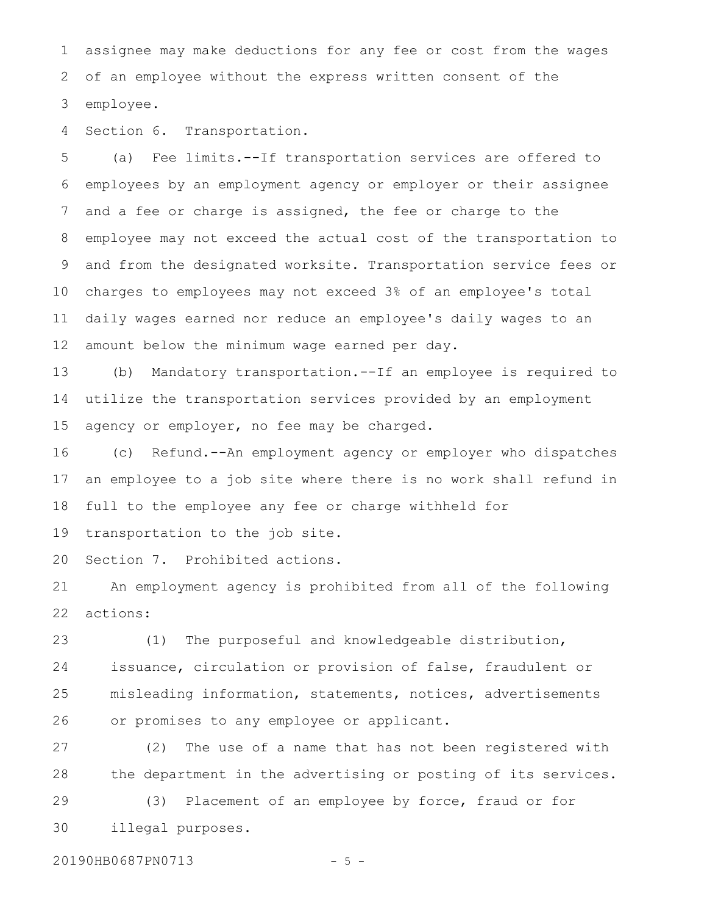assignee may make deductions for any fee or cost from the wages of an employee without the express written consent of the employee. 1 2 3

Section 6. Transportation. 4

(a) Fee limits.--If transportation services are offered to employees by an employment agency or employer or their assignee and a fee or charge is assigned, the fee or charge to the employee may not exceed the actual cost of the transportation to and from the designated worksite. Transportation service fees or charges to employees may not exceed 3% of an employee's total daily wages earned nor reduce an employee's daily wages to an amount below the minimum wage earned per day. 5 6 7 8 9 10 11 12

(b) Mandatory transportation.--If an employee is required to utilize the transportation services provided by an employment agency or employer, no fee may be charged. 13 14 15

(c) Refund.--An employment agency or employer who dispatches an employee to a job site where there is no work shall refund in full to the employee any fee or charge withheld for 16 17 18

transportation to the job site. 19

Section 7. Prohibited actions. 20

An employment agency is prohibited from all of the following actions: 21 22

(1) The purposeful and knowledgeable distribution, issuance, circulation or provision of false, fraudulent or misleading information, statements, notices, advertisements or promises to any employee or applicant. 23 24 25 26

(2) The use of a name that has not been registered with the department in the advertising or posting of its services. 27 28

(3) Placement of an employee by force, fraud or for illegal purposes. 29 30

20190HB0687PN0713 - 5 -